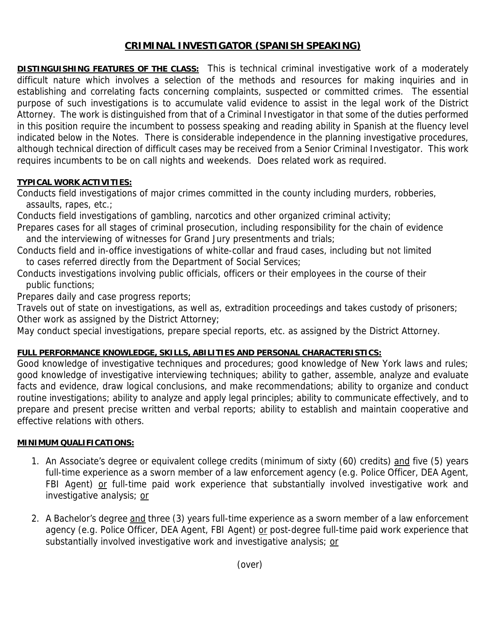### **CRIMINAL INVESTIGATOR (SPANISH SPEAKING)**

**DISTINGUISHING FEATURES OF THE CLASS:** This is technical criminal investigative work of a moderately difficult nature which involves a selection of the methods and resources for making inquiries and in establishing and correlating facts concerning complaints, suspected or committed crimes. The essential purpose of such investigations is to accumulate valid evidence to assist in the legal work of the District Attorney. The work is distinguished from that of a Criminal Investigator in that some of the duties performed in this position require the incumbent to possess speaking and reading ability in Spanish at the fluency level indicated below in the Notes. There is considerable independence in the planning investigative procedures, although technical direction of difficult cases may be received from a Senior Criminal Investigator. This work requires incumbents to be on call nights and weekends. Does related work as required.

### **TYPICAL WORK ACTIVITIES:**

Conducts field investigations of major crimes committed in the county including murders, robberies, assaults, rapes, etc.;

Conducts field investigations of gambling, narcotics and other organized criminal activity;

Prepares cases for all stages of criminal prosecution, including responsibility for the chain of evidence and the interviewing of witnesses for Grand Jury presentments and trials;

Conducts field and in-office investigations of white-collar and fraud cases, including but not limited to cases referred directly from the Department of Social Services;

Conducts investigations involving public officials, officers or their employees in the course of their public functions;

Prepares daily and case progress reports;

Travels out of state on investigations, as well as, extradition proceedings and takes custody of prisoners; Other work as assigned by the District Attorney;

May conduct special investigations, prepare special reports, etc. as assigned by the District Attorney.

# **FULL PERFORMANCE KNOWLEDGE, SKILLS, ABILITIES AND PERSONAL CHARACTERISTICS:**

Good knowledge of investigative techniques and procedures; good knowledge of New York laws and rules; good knowledge of investigative interviewing techniques; ability to gather, assemble, analyze and evaluate facts and evidence, draw logical conclusions, and make recommendations; ability to organize and conduct routine investigations; ability to analyze and apply legal principles; ability to communicate effectively, and to prepare and present precise written and verbal reports; ability to establish and maintain cooperative and effective relations with others.

# **MINIMUM QUALIFICATIONS:**

- 1. An Associate's degree or equivalent college credits (minimum of sixty (60) credits) and five (5) years full-time experience as a sworn member of a law enforcement agency (e.g. Police Officer, DEA Agent, FBI Agent) or full-time paid work experience that substantially involved investigative work and investigative analysis; or
- 2. A Bachelor's degree and three (3) years full-time experience as a sworn member of a law enforcement agency (e.g. Police Officer, DEA Agent, FBI Agent) or post-degree full-time paid work experience that substantially involved investigative work and investigative analysis; or